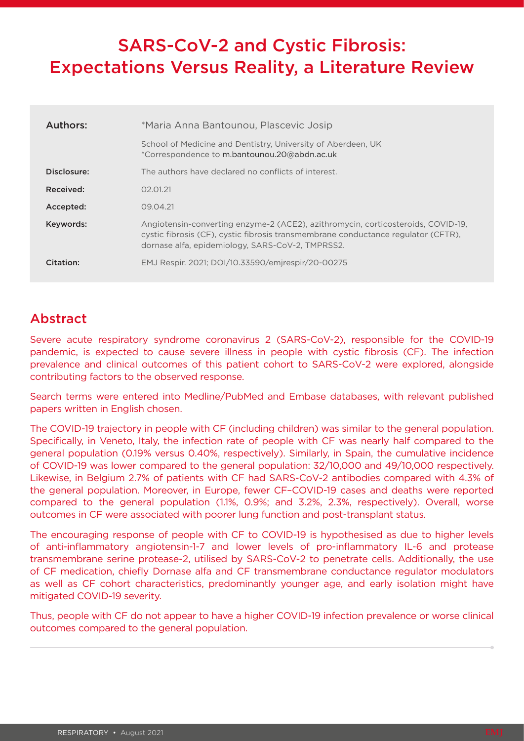# SARS-CoV-2 and Cystic Fibrosis: Expectations Versus Reality, a Literature Review

| Authors:    | *Maria Anna Bantounou, Plascevic Josip                                                                                                                                                                                    |
|-------------|---------------------------------------------------------------------------------------------------------------------------------------------------------------------------------------------------------------------------|
|             | School of Medicine and Dentistry, University of Aberdeen, UK<br>*Correspondence to m.bantounou.20@abdn.ac.uk                                                                                                              |
| Disclosure: | The authors have declared no conflicts of interest.                                                                                                                                                                       |
| Received:   | 02.01.21                                                                                                                                                                                                                  |
| Accepted:   | 09.04.21                                                                                                                                                                                                                  |
| Keywords:   | Angiotensin-converting enzyme-2 (ACE2), azithromycin, corticosteroids, COVID-19,<br>cystic fibrosis (CF), cystic fibrosis transmembrane conductance regulator (CFTR),<br>dornase alfa, epidemiology, SARS-CoV-2, TMPRSS2. |
| Citation:   | EMJ Respir. 2021; DOI/10.33590/emjrespir/20-00275                                                                                                                                                                         |

## Abstract

Severe acute respiratory syndrome coronavirus 2 (SARS-CoV-2), responsible for the COVID-19 pandemic, is expected to cause severe illness in people with cystic fibrosis (CF). The infection prevalence and clinical outcomes of this patient cohort to SARS-CoV-2 were explored, alongside contributing factors to the observed response.

Search terms were entered into Medline/PubMed and Embase databases, with relevant published papers written in English chosen.

The COVID-19 trajectory in people with CF (including children) was similar to the general population. Specifically, in Veneto, Italy, the infection rate of people with CF was nearly half compared to the general population (0.19% versus 0.40%, respectively). Similarly, in Spain, the cumulative incidence of COVID-19 was lower compared to the general population: 32/10,000 and 49/10,000 respectively. Likewise, in Belgium 2.7% of patients with CF had SARS-CoV-2 antibodies compared with 4.3% of the general population. Moreover, in Europe, fewer CF–COVID-19 cases and deaths were reported compared to the general population (1.1%, 0.9%; and 3.2%, 2.3%, respectively). Overall, worse outcomes in CF were associated with poorer lung function and post-transplant status.

The encouraging response of people with CF to COVID-19 is hypothesised as due to higher levels of anti-inflammatory angiotensin-1-7 and lower levels of pro-inflammatory IL-6 and protease transmembrane serine protease-2, utilised by SARS-CoV-2 to penetrate cells. Additionally, the use of CF medication, chiefly Dornase alfa and CF transmembrane conductance regulator modulators as well as CF cohort characteristics, predominantly younger age, and early isolation might have mitigated COVID-19 severity.

Thus, people with CF do not appear to have a higher COVID-19 infection prevalence or worse clinical outcomes compared to the general population.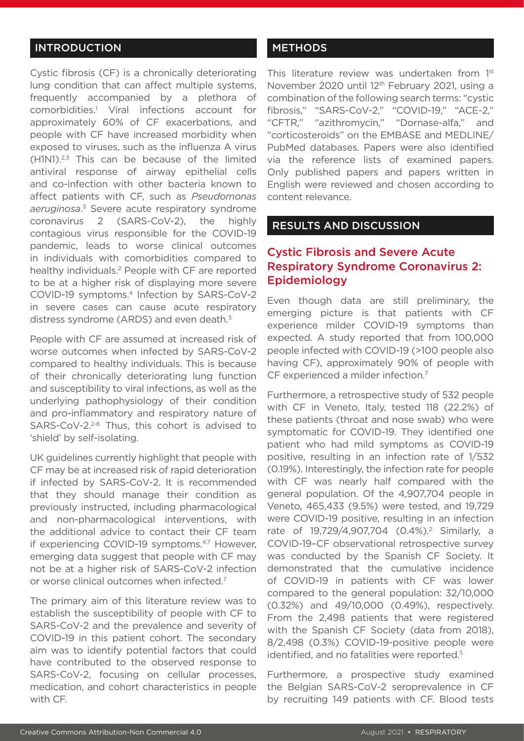#### INTRODUCTION

Cystic fibrosis (CF) is a chronically deteriorating lung condition that can affect multiple systems, frequently accompanied by a plethora of comorbidities.1 Viral infections account for approximately 60% of CF exacerbations, and people with CF have increased morbidity when exposed to viruses, such as the influenza A virus (H1N1).2,3 This can be because of the limited antiviral response of airway epithelial cells and co-infection with other bacteria known to affect patients with CF, such as *Pseudomonas aeruginosa*. 3 Severe acute respiratory syndrome coronavirus 2 (SARS-CoV-2), the highly contagious virus responsible for the COVID-19 pandemic, leads to worse clinical outcomes in individuals with comorbidities compared to healthy individuals.2 People with CF are reported to be at a higher risk of displaying more severe COVID-19 symptoms.4 Infection by SARS-CoV-2 in severe cases can cause acute respiratory distress syndrome (ARDS) and even death. $3$ 

People with CF are assumed at increased risk of worse outcomes when infected by SARS-CoV-2 compared to healthy individuals. This is because of their chronically deteriorating lung function and susceptibility to viral infections, as well as the underlying pathophysiology of their condition and pro-inflammatory and respiratory nature of SARS-CoV-2.<sup>2-6</sup> Thus, this cohort is advised to 'shield' by self-isolating.

UK guidelines currently highlight that people with CF may be at increased risk of rapid deterioration if infected by SARS-CoV-2. It is recommended that they should manage their condition as previously instructed, including pharmacological and non-pharmacological interventions, with the additional advice to contact their CF team if experiencing COVID-19 symptoms.<sup>4,7</sup> However, emerging data suggest that people with CF may not be at a higher risk of SARS-CoV-2 infection or worse clinical outcomes when infected.7

The primary aim of this literature review was to establish the susceptibility of people with CF to SARS-CoV-2 and the prevalence and severity of COVID-19 in this patient cohort. The secondary aim was to identify potential factors that could have contributed to the observed response to SARS-CoV-2, focusing on cellular processes, medication, and cohort characteristics in people with CF.

#### **METHODS**

This literature review was undertaken from 1<sup>st</sup> November 2020 until 12<sup>th</sup> February 2021, using a combination of the following search terms: "cystic fibrosis," "SARS-CoV-2," "COVID-19," "ACE-2," "CFTR," "azithromycin," "Dornase-alfa," and "corticosteroids" on the EMBASE and MEDLINE/ PubMed databases. Papers were also identified via the reference lists of examined papers. Only published papers and papers written in English were reviewed and chosen according to content relevance.

#### RESULTS AND DISCUSSION

## Cystic Fibrosis and Severe Acute Respiratory Syndrome Coronavirus 2: Epidemiology

Even though data are still preliminary, the emerging picture is that patients with CF experience milder COVID-19 symptoms than expected. A study reported that from 100,000 people infected with COVID-19 (>100 people also having CF), approximately 90% of people with CF experienced a milder infection.<sup>7</sup>

Furthermore, a retrospective study of 532 people with CF in Veneto, Italy, tested 118 (22.2%) of these patients (throat and nose swab) who were symptomatic for COVID-19. They identified one patient who had mild symptoms as COVID-19 positive, resulting in an infection rate of 1/532 (0.19%). Interestingly, the infection rate for people with CF was nearly half compared with the general population. Of the 4,907,704 people in Veneto, 465,433 (9.5%) were tested, and 19,729 were COVID-19 positive, resulting in an infection rate of 19,729/4,907,704 (0.4%).<sup>2</sup> Similarly, a COVID-19–CF observational retrospective survey was conducted by the Spanish CF Society. It demonstrated that the cumulative incidence of COVID-19 in patients with CF was lower compared to the general population: 32/10,000 (0.32%) and 49/10,000 (0.49%), respectively. From the 2,498 patients that were registered with the Spanish CF Society (data from 2018), 8/2,498 (0.3%) COVID-19-positive people were identified, and no fatalities were reported.<sup>5</sup>

Furthermore, a prospective study examined the Belgian SARS-CoV-2 seroprevalence in CF by recruiting 149 patients with CF. Blood tests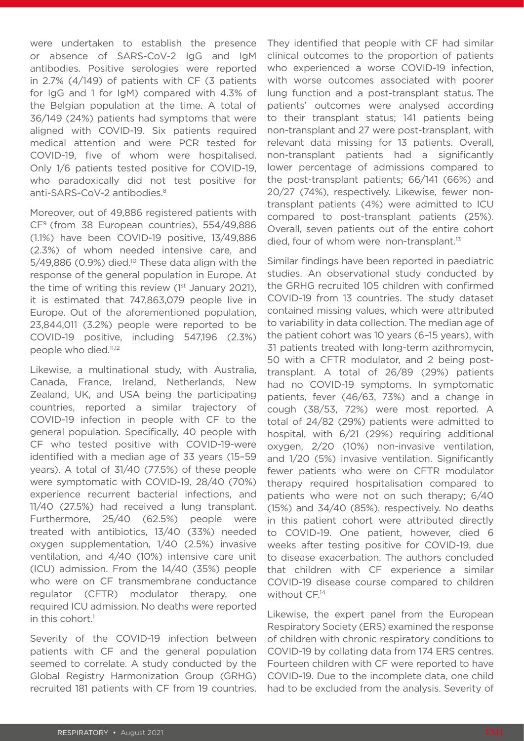were undertaken to establish the presence or absence of SARS-CoV-2 IgG and IgM antibodies. Positive serologies were reported in 2.7% (4/149) of patients with CF (3 patients for IgG and 1 for IgM) compared with 4.3% of the Belgian population at the time. A total of 36/149 (24%) patients had symptoms that were aligned with COVID-19. Six patients required medical attention and were PCR tested for COVID-19, five of whom were hospitalised. Only 1/6 patients tested positive for COVID-19, who paradoxically did not test positive for anti-SARS-CoV-2 antibodies.<sup>8</sup>

Moreover, out of 49,886 registered patients with CF9 (from 38 European countries), 554/49,886 (1.1%) have been COVID-19 positive, 13/49,886 (2.3%) of whom needed intensive care, and  $5/49,886$  (0.9%) died.<sup>10</sup> These data align with the response of the general population in Europe. At the time of writing this review  $(1<sup>st</sup>$  January 2021), it is estimated that 747,863,079 people live in Europe. Out of the aforementioned population, 23,844,011 (3.2%) people were reported to be COVID-19 positive, including 547,196 (2.3%) people who died.<sup>11,12</sup>

Likewise, a multinational study, with Australia, Canada, France, Ireland, Netherlands, New Zealand, UK, and USA being the participating countries, reported a similar trajectory of COVID-19 infection in people with CF to the general population. Specifically, 40 people with CF who tested positive with COVID-19-were identified with a median age of 33 years (15–59 years). A total of 31/40 (77.5%) of these people were symptomatic with COVID-19, 28/40 (70%) experience recurrent bacterial infections, and 11/40 (27.5%) had received a lung transplant. Furthermore, 25/40 (62.5%) people were treated with antibiotics, 13/40 (33%) needed oxygen supplementation, 1/40 (2.5%) invasive ventilation, and 4/40 (10%) intensive care unit (ICU) admission. From the 14/40 (35%) people who were on CF transmembrane conductance regulator (CFTR) modulator therapy, one required ICU admission. No deaths were reported in this cohort. $^1$ 

Severity of the COVID-19 infection between patients with CF and the general population seemed to correlate. A study conducted by the Global Registry Harmonization Group (GRHG) recruited 181 patients with CF from 19 countries.

They identified that people with CF had similar clinical outcomes to the proportion of patients who experienced a worse COVID-19 infection, with worse outcomes associated with poorer lung function and a post-transplant status. The patients' outcomes were analysed according to their transplant status; 141 patients being non-transplant and 27 were post-transplant, with relevant data missing for 13 patients. Overall, non-transplant patients had a significantly lower percentage of admissions compared to the post-transplant patients; 66/141 (66%) and 20/27 (74%), respectively. Likewise, fewer nontransplant patients (4%) were admitted to ICU compared to post-transplant patients (25%). Overall, seven patients out of the entire cohort died, four of whom were non-transplant.<sup>13</sup>

Similar findings have been reported in paediatric studies. An observational study conducted by the GRHG recruited 105 children with confirmed COVID-19 from 13 countries. The study dataset contained missing values, which were attributed to variability in data collection. The median age of the patient cohort was 10 years (6–15 years), with 31 patients treated with long-term azithromycin, 50 with a CFTR modulator, and 2 being posttransplant. A total of 26/89 (29%) patients had no COVID-19 symptoms. In symptomatic patients, fever (46/63, 73%) and a change in cough (38/53, 72%) were most reported. A total of 24/82 (29%) patients were admitted to hospital, with 6/21 (29%) requiring additional oxygen, 2/20 (10%) non-invasive ventilation, and 1/20 (5%) invasive ventilation. Significantly fewer patients who were on CFTR modulator therapy required hospitalisation compared to patients who were not on such therapy; 6/40 (15%) and 34/40 (85%), respectively. No deaths in this patient cohort were attributed directly to COVID-19. One patient, however, died 6 weeks after testing positive for COVID-19, due to disease exacerbation. The authors concluded that children with CF experience a similar COVID-19 disease course compared to children without CF.14

Likewise, the expert panel from the European Respiratory Society (ERS) examined the response of children with chronic respiratory conditions to COVID-19 by collating data from 174 ERS centres. Fourteen children with CF were reported to have COVID-19. Due to the incomplete data, one child had to be excluded from the analysis. Severity of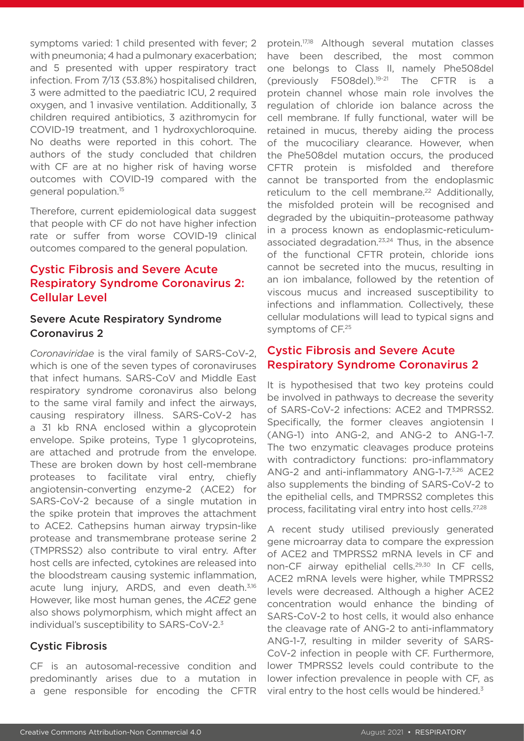symptoms varied: 1 child presented with fever; 2 with pneumonia; 4 had a pulmonary exacerbation; and 5 presented with upper respiratory tract infection. From 7/13 (53.8%) hospitalised children, 3 were admitted to the paediatric ICU, 2 required oxygen, and 1 invasive ventilation. Additionally, 3 children required antibiotics, 3 azithromycin for COVID-19 treatment, and 1 hydroxychloroquine. No deaths were reported in this cohort. The authors of the study concluded that children with CF are at no higher risk of having worse outcomes with COVID-19 compared with the general population.15

Therefore, current epidemiological data suggest that people with CF do not have higher infection rate or suffer from worse COVID-19 clinical outcomes compared to the general population.

## Cystic Fibrosis and Severe Acute Respiratory Syndrome Coronavirus 2: Cellular Level

#### Severe Acute Respiratory Syndrome Coronavirus 2

*Coronaviridae* is the viral family of SARS-CoV-2, which is one of the seven types of coronaviruses that infect humans. SARS-CoV and Middle East respiratory syndrome coronavirus also belong to the same viral family and infect the airways, causing respiratory illness. SARS-CoV-2 has a 31 kb RNA enclosed within a glycoprotein envelope. Spike proteins, Type 1 glycoproteins, are attached and protrude from the envelope. These are broken down by host cell-membrane proteases to facilitate viral entry, chiefly angiotensin-converting enzyme-2 (ACE2) for SARS-CoV-2 because of a single mutation in the spike protein that improves the attachment to ACE2. Cathepsins human airway trypsin-like protease and transmembrane protease serine 2 (TMPRSS2) also contribute to viral entry. After host cells are infected, cytokines are released into the bloodstream causing systemic inflammation, acute lung injury, ARDS, and even death.<sup>3,16</sup> However, like most human genes, the *ACE2* gene also shows polymorphism, which might affect an individual's susceptibility to SARS-CoV-2.<sup>3</sup>

#### Cystic Fibrosis

CF is an autosomal-recessive condition and predominantly arises due to a mutation in a gene responsible for encoding the CFTR protein.17,18 Although several mutation classes have been described, the most common one belongs to Class II, namely Phe508del (previously F508del).<sup>19-21</sup> The CFTR is protein channel whose main role involves the regulation of chloride ion balance across the cell membrane. If fully functional, water will be retained in mucus, thereby aiding the process of the mucociliary clearance. However, when the Phe508del mutation occurs, the produced CFTR protein is misfolded and therefore cannot be transported from the endoplasmic reticulum to the cell membrane.<sup>22</sup> Additionally, the misfolded protein will be recognised and degraded by the ubiquitin–proteasome pathway in a process known as endoplasmic-reticulumassociated degradation.<sup>23,24</sup> Thus, in the absence of the functional CFTR protein, chloride ions cannot be secreted into the mucus, resulting in an ion imbalance, followed by the retention of viscous mucus and increased susceptibility to infections and inflammation. Collectively, these cellular modulations will lead to typical signs and symptoms of CF.25

## Cystic Fibrosis and Severe Acute Respiratory Syndrome Coronavirus 2

It is hypothesised that two key proteins could be involved in pathways to decrease the severity of SARS-CoV-2 infections: ACE2 and TMPRSS2. Specifically, the former cleaves angiotensin I (ANG-1) into ANG-2, and ANG-2 to ANG-1-7. The two enzymatic cleavages produce proteins with contradictory functions: pro-inflammatory ANG-2 and anti-inflammatory ANG-1-7.3,26 ACE2 also supplements the binding of SARS-CoV-2 to the epithelial cells, and TMPRSS2 completes this process, facilitating viral entry into host cells.27,28

A recent study utilised previously generated gene microarray data to compare the expression of ACE2 and TMPRSS2 mRNA levels in CF and non-CF airway epithelial cells.<sup>29,30</sup> In CF cells, ACE2 mRNA levels were higher, while TMPRSS2 levels were decreased. Although a higher ACE2 concentration would enhance the binding of SARS-CoV-2 to host cells, it would also enhance the cleavage rate of ANG-2 to anti-inflammatory ANG-1-7, resulting in milder severity of SARS-CoV-2 infection in people with CF. Furthermore, lower TMPRSS2 levels could contribute to the lower infection prevalence in people with CF, as viral entry to the host cells would be hindered.<sup>3</sup>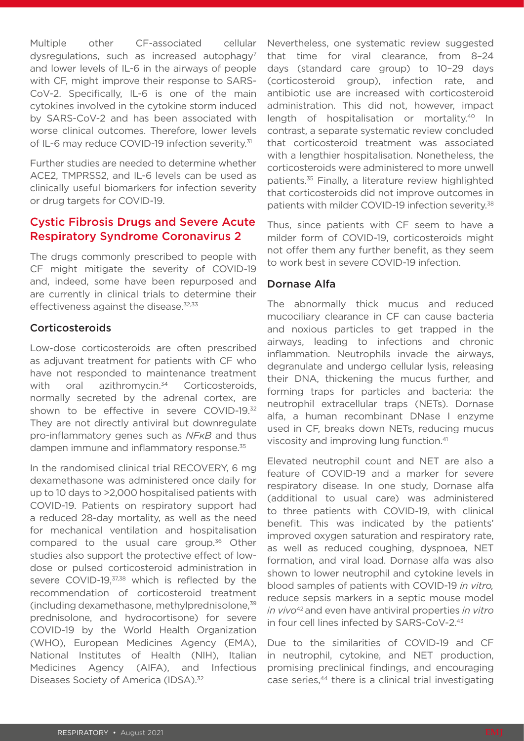Multiple other CF-associated cellular dysregulations, such as increased autophagy<sup>7</sup> and lower levels of IL-6 in the airways of people with CF, might improve their response to SARS-CoV-2. Specifically, IL-6 is one of the main cytokines involved in the cytokine storm induced by SARS-CoV-2 and has been associated with worse clinical outcomes. Therefore, lower levels of IL-6 may reduce COVID-19 infection severity.<sup>31</sup>

Further studies are needed to determine whether ACE2, TMPRSS2, and IL-6 levels can be used as clinically useful biomarkers for infection severity or drug targets for COVID-19.

### Cystic Fibrosis Drugs and Severe Acute Respiratory Syndrome Coronavirus 2

The drugs commonly prescribed to people with CF might mitigate the severity of COVID-19 and, indeed, some have been repurposed and are currently in clinical trials to determine their effectiveness against the disease.<sup>32,33</sup>

#### Corticosteroids

Low-dose corticosteroids are often prescribed as adjuvant treatment for patients with CF who have not responded to maintenance treatment with oral azithromycin.<sup>34</sup> Corticosteroids, normally secreted by the adrenal cortex, are shown to be effective in severe COVID-19.<sup>32</sup> They are not directly antiviral but downregulate pro-inflammatory genes such as *NFκB* and thus dampen immune and inflammatory response.<sup>35</sup>

In the randomised clinical trial RECOVERY, 6 mg dexamethasone was administered once daily for up to 10 days to >2,000 hospitalised patients with COVID-19. Patients on respiratory support had a reduced 28-day mortality, as well as the need for mechanical ventilation and hospitalisation compared to the usual care group.<sup>36</sup> Other studies also support the protective effect of lowdose or pulsed corticosteroid administration in severe COVID-19,<sup>37,38</sup> which is reflected by the recommendation of corticosteroid treatment (including dexamethasone, methylprednisolone,39 prednisolone, and hydrocortisone) for severe COVID-19 by the World Health Organization (WHO), European Medicines Agency (EMA), National Institutes of Health (NIH), Italian Medicines Agency (AIFA), and Infectious Diseases Society of America (IDSA).<sup>32</sup>

Nevertheless, one systematic review suggested that time for viral clearance, from 8–24 days (standard care group) to 10–29 days (corticosteroid group), infection rate, and antibiotic use are increased with corticosteroid administration. This did not, however, impact length of hospitalisation or mortality.40 In contrast, a separate systematic review concluded that corticosteroid treatment was associated with a lengthier hospitalisation. Nonetheless, the corticosteroids were administered to more unwell patients.35 Finally, a literature review highlighted that corticosteroids did not improve outcomes in patients with milder COVID-19 infection severity.38

Thus, since patients with CF seem to have a milder form of COVID-19, corticosteroids might not offer them any further benefit, as they seem to work best in severe COVID-19 infection.

#### Dornase Alfa

The abnormally thick mucus and reduced mucociliary clearance in CF can cause bacteria and noxious particles to get trapped in the airways, leading to infections and chronic inflammation. Neutrophils invade the airways, degranulate and undergo cellular lysis, releasing their DNA, thickening the mucus further, and forming traps for particles and bacteria: the neutrophil extracellular traps (NETs). Dornase alfa, a human recombinant DNase I enzyme used in CF, breaks down NETs, reducing mucus viscosity and improving lung function.41

Elevated neutrophil count and NET are also a feature of COVID-19 and a marker for severe respiratory disease. In one study, Dornase alfa (additional to usual care) was administered to three patients with COVID-19, with clinical benefit. This was indicated by the patients' improved oxygen saturation and respiratory rate, as well as reduced coughing, dyspnoea, NET formation, and viral load. Dornase alfa was also shown to lower neutrophil and cytokine levels in blood samples of patients with COVID-19 *in vitro,*  reduce sepsis markers in a septic mouse model *in vivo*42 and even have antiviral properties *in vitro* in four cell lines infected by SARS-CoV-2.43

Due to the similarities of COVID-19 and CF in neutrophil, cytokine, and NET production, promising preclinical findings, and encouraging case series,<sup>44</sup> there is a clinical trial investigating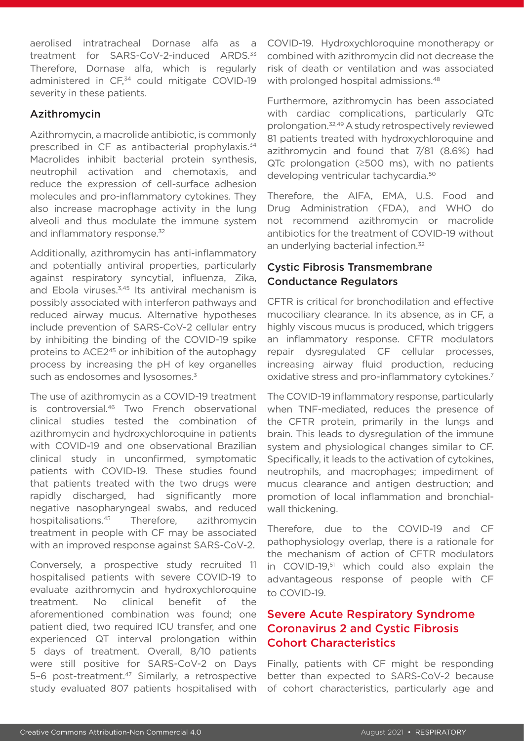aerolised intratracheal Dornase alfa as a treatment for SARS-CoV-2-induced ARDS.<sup>33</sup> Therefore, Dornase alfa, which is regularly administered in CF,<sup>34</sup> could mitigate COVID-19 severity in these patients.

#### Azithromycin

Azithromycin, a macrolide antibiotic, is commonly prescribed in CF as antibacterial prophylaxis.<sup>34</sup> Macrolides inhibit bacterial protein synthesis, neutrophil activation and chemotaxis, and reduce the expression of cell-surface adhesion molecules and pro-inflammatory cytokines. They also increase macrophage activity in the lung alveoli and thus modulate the immune system and inflammatory response.<sup>32</sup>

Additionally, azithromycin has anti-inflammatory and potentially antiviral properties, particularly against respiratory syncytial, influenza, Zika, and Ebola viruses.<sup>3,45</sup> Its antiviral mechanism is possibly associated with interferon pathways and reduced airway mucus. Alternative hypotheses include prevention of SARS-CoV-2 cellular entry by inhibiting the binding of the COVID-19 spike proteins to ACE2<sup>45</sup> or inhibition of the autophagy process by increasing the pH of key organelles such as endosomes and lysosomes.<sup>3</sup>

The use of azithromycin as a COVID-19 treatment is controversial.<sup>46</sup> Two French observational clinical studies tested the combination of azithromycin and hydroxychloroquine in patients with COVID-19 and one observational Brazilian clinical study in unconfirmed, symptomatic patients with COVID-19. These studies found that patients treated with the two drugs were rapidly discharged, had significantly more negative nasopharyngeal swabs, and reduced hospitalisations.45 Therefore, azithromycin treatment in people with CF may be associated with an improved response against SARS-CoV-2.

Conversely, a prospective study recruited 11 hospitalised patients with severe COVID-19 to evaluate azithromycin and hydroxychloroquine treatment. No clinical benefit of the aforementioned combination was found; one patient died, two required ICU transfer, and one experienced QT interval prolongation within 5 days of treatment. Overall, 8/10 patients were still positive for SARS-CoV-2 on Days 5-6 post-treatment.<sup>47</sup> Similarly, a retrospective study evaluated 807 patients hospitalised with

COVID-19. Hydroxychloroquine monotherapy or combined with azithromycin did not decrease the risk of death or ventilation and was associated with prolonged hospital admissions.<sup>48</sup>

Furthermore, azithromycin has been associated with cardiac complications, particularly QTc prolongation.32,49 A study retrospectively reviewed 81 patients treated with hydroxychloroquine and azithromycin and found that 7/81 (8.6%) had QTc prolongation (≥500 ms), with no patients developing ventricular tachycardia.50

Therefore, the AIFA, EMA, U.S. Food and Drug Administration (FDA), and WHO do not recommend azithromycin or macrolide antibiotics for the treatment of COVID-19 without an underlying bacterial infection.<sup>32</sup>

#### Cystic Fibrosis Transmembrane Conductance Regulators

CFTR is critical for bronchodilation and effective mucociliary clearance. In its absence, as in CF, a highly viscous mucus is produced, which triggers an inflammatory response. CFTR modulators repair dysregulated CF cellular processes, increasing airway fluid production, reducing oxidative stress and pro-inflammatory cytokines.7

The COVID-19 inflammatory response, particularly when TNF-mediated, reduces the presence of the CFTR protein, primarily in the lungs and brain. This leads to dysregulation of the immune system and physiological changes similar to CF. Specifically, it leads to the activation of cytokines, neutrophils, and macrophages; impediment of mucus clearance and antigen destruction; and promotion of local inflammation and bronchialwall thickening.

Therefore, due to the COVID-19 and CF pathophysiology overlap, there is a rationale for the mechanism of action of CFTR modulators in COVID-19,<sup>51</sup> which could also explain the advantageous response of people with CF to COVID-19.

## Severe Acute Respiratory Syndrome Coronavirus 2 and Cystic Fibrosis Cohort Characteristics

Finally, patients with CF might be responding better than expected to SARS-CoV-2 because of cohort characteristics, particularly age and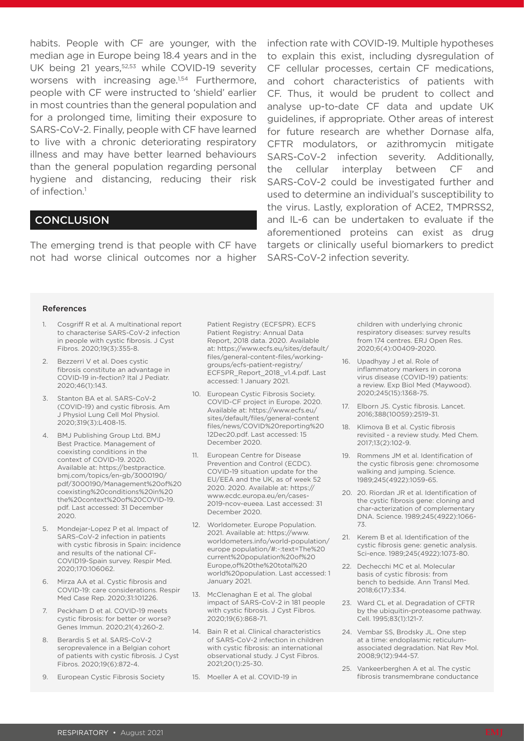habits. People with CF are younger, with the median age in Europe being 18.4 years and in the UK being 21 years,<sup>52,53</sup> while COVID-19 severity worsens with increasing age.<sup>1,54</sup> Furthermore, people with CF were instructed to 'shield' earlier in most countries than the general population and for a prolonged time, limiting their exposure to SARS-CoV-2. Finally, people with CF have learned to live with a chronic deteriorating respiratory illness and may have better learned behaviours than the general population regarding personal hygiene and distancing, reducing their risk of infection.<sup>1</sup>

#### **CONCLUSION**

The emerging trend is that people with CF have not had worse clinical outcomes nor a higher

infection rate with COVID-19. Multiple hypotheses to explain this exist, including dysregulation of CF cellular processes, certain CF medications, and cohort characteristics of patients with CF. Thus, it would be prudent to collect and analyse up-to-date CF data and update UK guidelines, if appropriate. Other areas of interest for future research are whether Dornase alfa, CFTR modulators, or azithromycin mitigate SARS-CoV-2 infection severity. Additionally, the cellular interplay between CF and SARS-CoV-2 could be investigated further and used to determine an individual's susceptibility to the virus. Lastly, exploration of ACE2, TMPRSS2, and IL-6 can be undertaken to evaluate if the aforementioned proteins can exist as drug targets or clinically useful biomarkers to predict SARS-CoV-2 infection severity.

#### References

- Cosgriff R et al. A multinational report to characterise SARS-CoV-2 infection in people with cystic fibrosis. J Cyst Fibros. 2020;19(3):355-8.
- 2. Bezzerri V et al. Does cystic fibrosis constitute an advantage in COVID-19 in-fection? Ital J Pediatr. 2020;46(1):143.
- 3. Stanton BA et al. SARS-CoV-2 (COVID-19) and cystic fibrosis. Am J Physiol Lung Cell Mol Physiol. 2020;319(3):L408-15.
- 4. BMJ Publishing Group Ltd. BMJ Best Practice. Management of coexisting conditions in the context of COVID-19. 2020. Available at: https://bestpractice. bmj.com/topics/en-gb/3000190/ pdf/3000190/Management%20of%20 coexisting%20conditions%20in%20 the%20context%20of%20COVID-19. pdf. Last accessed: 31 December 2020.
- 5. Mondejar-Lopez P et al. Impact of SARS-CoV-2 infection in patients with cystic fibrosis in Spain: incidence and results of the national CF-COVID19-Spain survey. Respir Med. 2020;170:106062.
- 6. Mirza AA et al. Cystic fibrosis and COVID-19: care considerations. Respir Med Case Rep. 2020;31:101226.
- 7. Peckham D et al. COVID-19 meets cystic fibrosis: for better or worse? Genes Immun. 2020;21(4):260-2.
- 8. Berardis S et al. SARS-CoV-2 seroprevalence in a Belgian cohort of patients with cystic fibrosis. J Cyst Fibros. 2020;19(6):872-4.
- 9. European Cystic Fibrosis Society

Patient Registry (ECFSPR). ECFS Patient Registry: Annual Data Report, 2018 data. 2020. Available at: https://www.ecfs.eu/sites/default/ files/general-content-files/workinggroups/ecfs-patient-registry/ ECFSPR\_Report\_2018\_v1.4.pdf. Last accessed: 1 January 2021.

- 10. European Cystic Fibrosis Society. COVID-CF project in Europe. 2020. Available at: https://www.ecfs.eu/ sites/default/files/general-content files/news/COVID%20reporting%20 12Dec20.pdf. Last accessed: 15 December 2020.
- 11. European Centre for Disease Prevention and Control (ECDC). COVID-19 situation update for the EU/EEA and the UK, as of week 52 2020. 2020. Available at: https:// www.ecdc.europa.eu/en/cases-2019-ncov-eueea. Last accessed: 31 December 2020.
- 12. Worldometer. Europe Population. 2021. Available at: https://www. worldometers.info/world-population/ europe population/#:~:text=The%20 current%20population%20of%20 Europe,of%20the%20total%20 world%20population. Last accessed: 1 January 2021.
- 13. McClenaghan E et al. The global impact of SARS-CoV-2 in 181 people with cystic fibrosis. J Cyst Fibros. 2020;19(6):868-71.
- 14. Bain R et al. Clinical characteristics of SARS-CoV-2 infection in children with cystic fibrosis: an international observational study. J Cyst Fibros. 2021;20(1):25-30.
- 15. Moeller A et al. COVID-19 in

children with underlying chronic respiratory diseases: survey results from 174 centres. ERJ Open Res. 2020;6(4):00409-2020.

- 16. Upadhyay J et al. Role of inflammatory markers in corona virus disease (COVID-19) patients: a review. Exp Biol Med (Maywood). 2020;245(15):1368-75.
- 17. Elborn JS. Cystic fibrosis. Lancet. 2016;388(10059):2519-31.
- 18. Klimova B et al. Cystic fibrosis revisited - a review study. Med Chem. 2017;13(2):102-9.
- 19. Rommens JM et al. Identification of the cystic fibrosis gene: chromosome walking and jumping. Science. 1989;245(4922):1059-65.
- 20. 20. Riordan JR et al. Identification of the cystic fibrosis gene: cloning and char-acterization of complementary DNA. Science. 1989;245(4922):1066- 73.
- 21. Kerem B et al. Identification of the cystic fibrosis gene: genetic analysis. Sci-ence. 1989;245(4922):1073-80.
- 22. Dechecchi MC et al. Molecular basis of cystic fibrosis: from bench to bedside. Ann Transl Med. 2018;6(17):334.
- 23. Ward CL et al. Degradation of CFTR by the ubiquitin-proteasome pathway. Cell. 1995;83(1):121-7.
- 24. Vembar SS, Brodsky JL. One step at a time: endoplasmic reticulumassociated degradation. Nat Rev Mol. 2008;9(12):944-57.
- 25. Vankeerberghen A et al. The cystic fibrosis transmembrane conductance